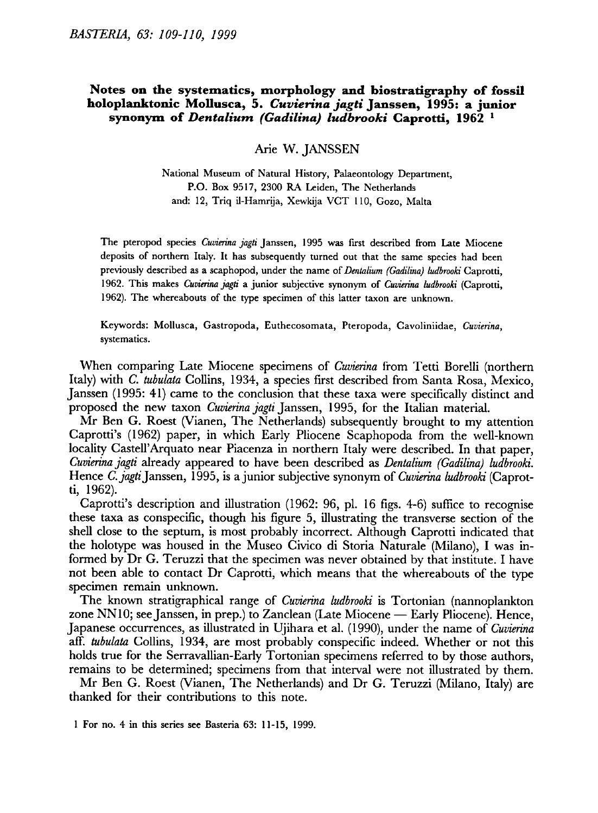## Notes on the systematics, morphology and biostratigraphy of fossil holoplanktonic Mollusca, 5. Cuvierina jagti Janssen, 1995: a junior synonym of Dentalium (Gadilina) ludbrooki Caprotti,  $1962<sup>-1</sup>$

Arie W. JANSSEN

National Museum of Natural History, Palaeontology Department, P.O. Box 9517, <sup>2300</sup> RA Leiden, The Netherlands and: 12, Triq il-Hamrija, Xewkija VCT 110, Gozo, Malta

The pteropod species Cuvierina jagti Janssen, 1995 was first described from Late Miocene deposits of northern Italy. It has subsequently turned out that the same species had been previously described as a scaphopod, under the name of Dentalium (Gadilina) ludbrooki Caprotti, 1962. This makes Cuvierina jagti a junior subjective synonym of Cuvierina ludbrooki (Caprotti, 1962). The whereabouts of the type specimen of this latter taxon are unknown.

Keywords: Mollusca, Gastropoda, Euthecosomata, Pteropoda, Cavoliniidae, Cuvierina, systematics.

When comparing Late Miocene specimens of *Cuvierina* from Tetti Borelli (northern Italy) with C. tubulata Collins, 1934, <sup>a</sup> species first described from Santa Rosa, Mexico, Janssen (1995: 41) came to the conclusion that these taxa were specifically distinct and proposed the new taxon Cuvierina jagti Janssen, 1995, for the Italian material.

Mr Ben G. Roest (Vianen, The Netherlands) subsequently brought to my attention Caprotti's (1962) paper, in which Early Pliocene Scaphopoda from the well-known locality Castell'Arquato near Piacenza in northern Italy were described. In that paper, Cuvierina jagti already appeared to have been described as Dentalium (Gadilina) ludbrooki. Hence C. jagti Janssen, 1995, is a junior subjective synonym of Cuvierina ludbrooki (Caprotti, 1962).

Caprotti's description and illustration (1962: 96, pi. <sup>16</sup> figs. 4-6) suffice to recognise these taxa as conspecific, though his figure 5, illustrating the transverse section of the shell close to the septum, is most probably incorrect. Although Caprotti indicated that the holotype was housed in the Museo Civico di Storia Naturale (Milano), I was informed by Dr G. Teruzzi that the specimen was never obtained by that institute. <sup>I</sup> have not been able to contact Dr Caprotti, which means that the whereabouts of the type specimen remain unknown.

The known stratigraphical range of *Cuvierina ludbrooki* is Tortonian (nannoplankton zone NN10; see Janssen, in prep.) to Zanclean (Late Miocene Early Pliocene). Hence, Japanese occurrences, as illustrated in Ujihara et al. (1990), under the name of Cuvierina aff. tubulata Collins, 1934, are most probably conspecific indeed. Whether or not this holds true for the Serravallian-Early Tortonian specimens referred to by those authors, remains to be determined; specimens from that interval were not illustrated by them.

Mr Ben G. Roest (Vianen, The Netherlands) and Dr G. Teruzzi (Milano, Italy) are thanked for their contributions to this note.

<sup>1</sup> For no. <sup>4</sup> in this series see Basteria 63: 11-15, 1999.